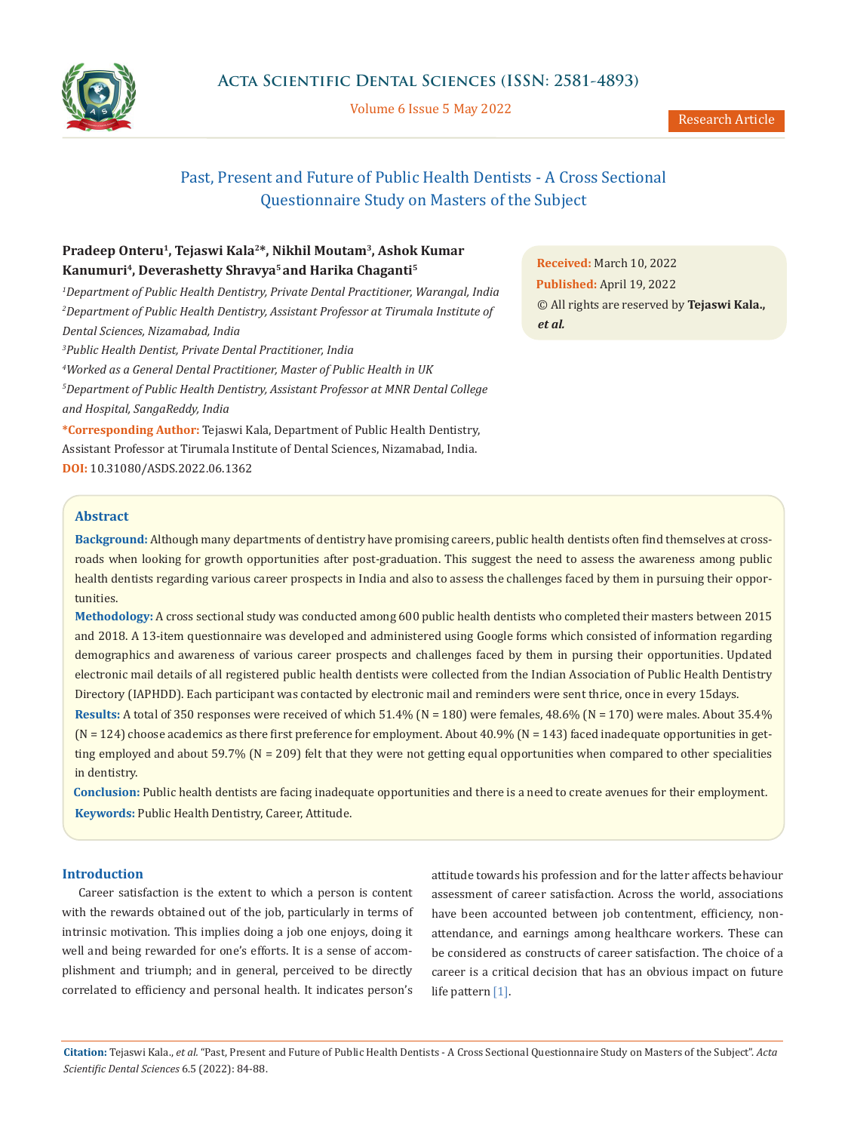

Volume 6 Issue 5 May 2022

# Past, Present and Future of Public Health Dentists - A Cross Sectional Questionnaire Study on Masters of the Subject

## **Pradeep Onteru1, Tejaswi Kala2\*, Nikhil Moutam3, Ashok Kumar Kanumuri4, Deverashetty Shravya5 and Harika Chaganti5**

 *Department of Public Health Dentistry, Private Dental Practitioner, Warangal, India Department of Public Health Dentistry, Assistant Professor at Tirumala Institute of Dental Sciences, Nizamabad, India Public Health Dentist, Private Dental Practitioner, India Worked as a General Dental Practitioner, Master of Public Health in UK* 

*5 Department of Public Health Dentistry, Assistant Professor at MNR Dental College and Hospital, SangaReddy, India*

**\*Corresponding Author:** Tejaswi Kala, Department of Public Health Dentistry, Assistant Professor at Tirumala Institute of Dental Sciences, Nizamabad, India. **DOI:** [10.31080/ASDS.2022.06.1362](https://actascientific.com/ASDS/pdf/ASDS-06-1362.pdf)

**Received:** March 10, 2022 **Published:** April 19, 2022 © All rights are reserved by **Tejaswi Kala.,**  *et al.*

## **Abstract**

**Background:** Although many departments of dentistry have promising careers, public health dentists often find themselves at crossroads when looking for growth opportunities after post-graduation. This suggest the need to assess the awareness among public health dentists regarding various career prospects in India and also to assess the challenges faced by them in pursuing their opportunities.

**Methodology:** A cross sectional study was conducted among 600 public health dentists who completed their masters between 2015 and 2018. A 13-item questionnaire was developed and administered using Google forms which consisted of information regarding demographics and awareness of various career prospects and challenges faced by them in pursing their opportunities. Updated electronic mail details of all registered public health dentists were collected from the Indian Association of Public Health Dentistry Directory (IAPHDD). Each participant was contacted by electronic mail and reminders were sent thrice, once in every 15days.

**Results:** A total of 350 responses were received of which 51.4% (N = 180) were females, 48.6% (N = 170) were males. About 35.4%  $(N = 124)$  choose academics as there first preference for employment. About 40.9%  $(N = 143)$  faced inadequate opportunities in getting employed and about 59.7% ( $N = 209$ ) felt that they were not getting equal opportunities when compared to other specialities in dentistry.

**Keywords:** Public Health Dentistry, Career, Attitude. **Conclusion:** Public health dentists are facing inadequate opportunities and there is a need to create avenues for their employment.

#### **Introduction**

Career satisfaction is the extent to which a person is content with the rewards obtained out of the job, particularly in terms of intrinsic motivation. This implies doing a job one enjoys, doing it well and being rewarded for one's efforts. It is a sense of accomplishment and triumph; and in general, perceived to be directly correlated to efficiency and personal health. It indicates person's

attitude towards his profession and for the latter affects behaviour assessment of career satisfaction. Across the world, associations have been accounted between job contentment, efficiency, nonattendance, and earnings among healthcare workers. These can be considered as constructs of career satisfaction. The choice of a career is a critical decision that has an obvious impact on future life pattern [1].

**Citation:** Tejaswi Kala., *et al.* "Past, Present and Future of Public Health Dentists - A Cross Sectional Questionnaire Study on Masters of the Subject". *Acta Scientific Dental Sciences* 6.5 (2022): 84-88.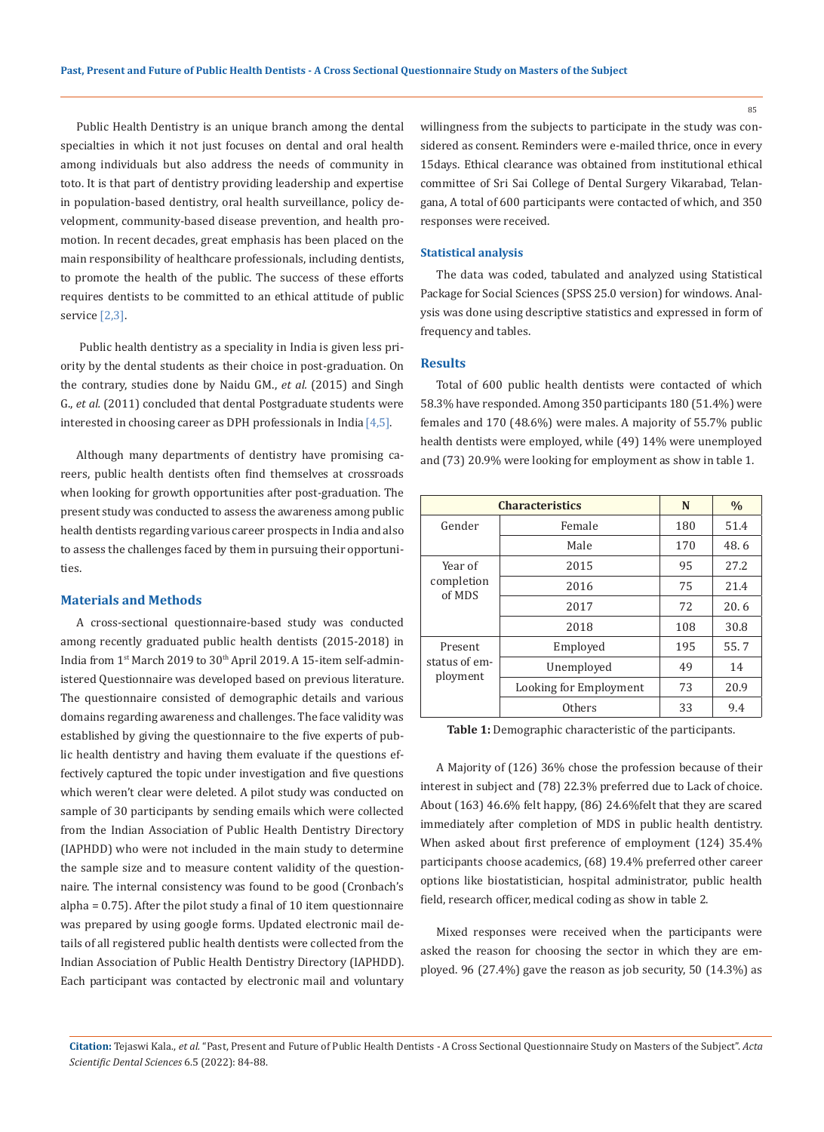Public Health Dentistry is an unique branch among the dental specialties in which it not just focuses on dental and oral health among individuals but also address the needs of community in toto. It is that part of dentistry providing leadership and expertise in population-based dentistry, oral health surveillance, policy development, community-based disease prevention, and health promotion. In recent decades, great emphasis has been placed on the main responsibility of healthcare professionals, including dentists, to promote the health of the public. The success of these efforts requires dentists to be committed to an ethical attitude of public service [2,3].

 Public health dentistry as a speciality in India is given less priority by the dental students as their choice in post-graduation. On the contrary, studies done by Naidu GM., *et al.* (2015) and Singh G., *et al.* (2011) concluded that dental Postgraduate students were interested in choosing career as DPH professionals in India  $[4,5]$ .

Although many departments of dentistry have promising careers, public health dentists often find themselves at crossroads when looking for growth opportunities after post-graduation. The present study was conducted to assess the awareness among public health dentists regarding various career prospects in India and also to assess the challenges faced by them in pursuing their opportunities.

## **Materials and Methods**

A cross-sectional questionnaire-based study was conducted among recently graduated public health dentists (2015-2018) in India from 1st March 2019 to 30th April 2019. A 15-item self-administered Questionnaire was developed based on previous literature. The questionnaire consisted of demographic details and various domains regarding awareness and challenges. The face validity was established by giving the questionnaire to the five experts of public health dentistry and having them evaluate if the questions effectively captured the topic under investigation and five questions which weren't clear were deleted. A pilot study was conducted on sample of 30 participants by sending emails which were collected from the Indian Association of Public Health Dentistry Directory (IAPHDD) who were not included in the main study to determine the sample size and to measure content validity of the questionnaire. The internal consistency was found to be good (Cronbach's alpha = 0.75). After the pilot study a final of 10 item questionnaire was prepared by using google forms. Updated electronic mail details of all registered public health dentists were collected from the Indian Association of Public Health Dentistry Directory (IAPHDD). Each participant was contacted by electronic mail and voluntary willingness from the subjects to participate in the study was considered as consent. Reminders were e-mailed thrice, once in every 15days. Ethical clearance was obtained from institutional ethical committee of Sri Sai College of Dental Surgery Vikarabad, Telangana, A total of 600 participants were contacted of which, and 350 responses were received.

#### **Statistical analysis**

The data was coded, tabulated and analyzed using Statistical Package for Social Sciences (SPSS 25.0 version) for windows. Analysis was done using descriptive statistics and expressed in form of frequency and tables.

#### **Results**

Total of 600 public health dentists were contacted of which 58.3% have responded. Among 350 participants 180 (51.4%) were females and 170 (48.6%) were males. A majority of 55.7% public health dentists were employed, while (49) 14% were unemployed and (73) 20.9% were looking for employment as show in table 1.

| <b>Characteristics</b>               |                        | N   | $\%$  |
|--------------------------------------|------------------------|-----|-------|
| Gender                               | Female                 | 180 | 51.4  |
|                                      | Male                   | 170 | 48.6  |
| Year of<br>completion<br>of MDS      | 2015                   | 95  | 2.7.2 |
|                                      | 2016                   | 75  | 21.4  |
|                                      | 2017                   | 72  | 20.6  |
|                                      | 2018                   | 108 | 30.8  |
| Present<br>status of em-<br>ployment | Employed               | 195 | 55.7  |
|                                      | Unemployed             | 49  | 14    |
|                                      | Looking for Employment | 73  | 20.9  |
|                                      | Others                 | 33  | 9.4   |

**Table 1:** Demographic characteristic of the participants.

A Majority of (126) 36% chose the profession because of their interest in subject and (78) 22.3% preferred due to Lack of choice. About (163) 46.6% felt happy, (86) 24.6%felt that they are scared immediately after completion of MDS in public health dentistry. When asked about first preference of employment (124) 35.4% participants choose academics, (68) 19.4% preferred other career options like biostatistician, hospital administrator, public health field, research officer, medical coding as show in table 2.

Mixed responses were received when the participants were asked the reason for choosing the sector in which they are employed. 96 (27.4%) gave the reason as job security, 50 (14.3%) as

85

**Citation:** Tejaswi Kala., *et al.* "Past, Present and Future of Public Health Dentists - A Cross Sectional Questionnaire Study on Masters of the Subject". *Acta Scientific Dental Sciences* 6.5 (2022): 84-88.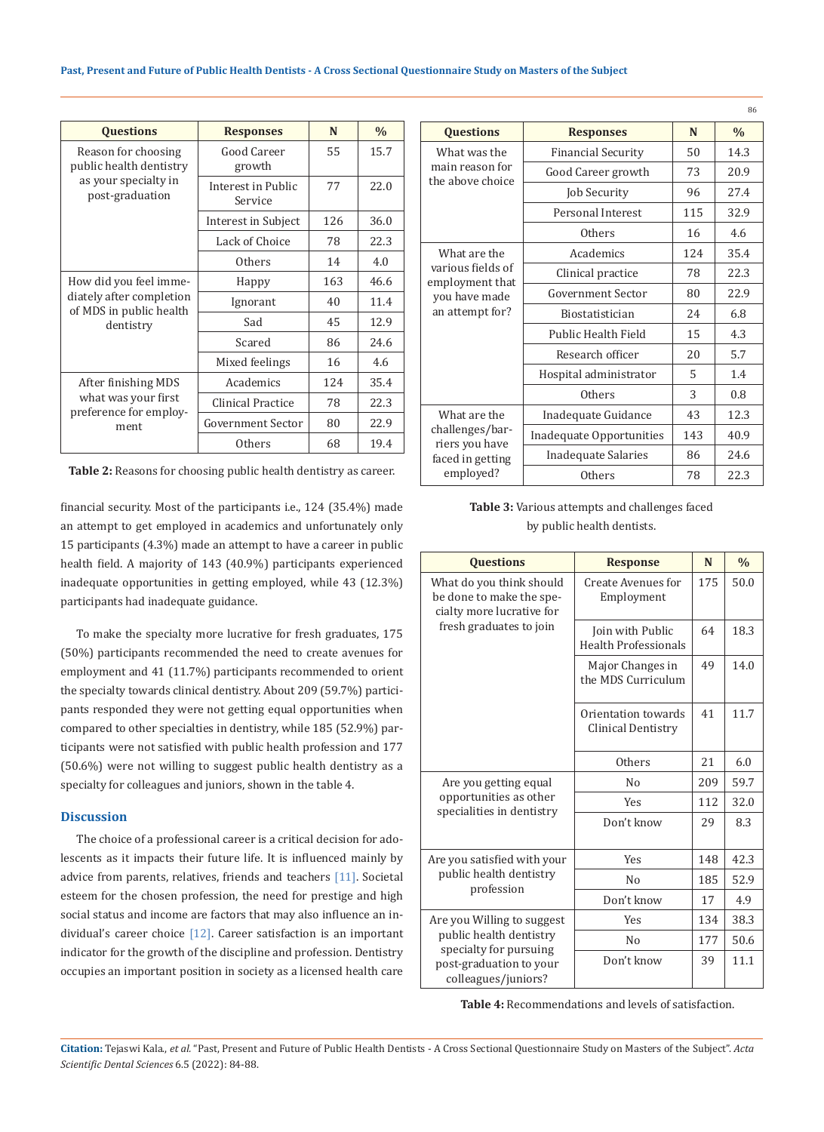| <b>Questions</b>                                    | <b>Responses</b>              | N   | $\frac{0}{0}$ |
|-----------------------------------------------------|-------------------------------|-----|---------------|
| Reason for choosing<br>public health dentistry      | Good Career<br>growth         | 55  | 15.7          |
| as your specialty in<br>post-graduation             | Interest in Public<br>Service | 77  | 22.0          |
|                                                     | Interest in Subject           | 126 | 36.0          |
|                                                     | Lack of Choice                | 78  | 22.3          |
|                                                     | Others                        | 14  | 4.0           |
| How did you feel imme-                              | Happy                         | 163 | 46.6          |
| diately after completion<br>of MDS in public health | Ignorant                      | 40  | 11.4          |
| dentistry                                           | Sad                           | 45  | 12.9          |
|                                                     | Scared                        | 86  | 24.6          |
|                                                     | Mixed feelings                | 16  | 4.6           |
| After finishing MDS                                 | Academics                     | 124 | 35.4          |
| what was your first<br>preference for employ-       | Clinical Practice             | 78  | 22.3          |
| ment                                                | Government Sector             | 80  | 22.9          |
|                                                     | Others                        | 68  | 19.4          |

**Table 2:** Reasons for choosing public health dentistry as career.

financial security. Most of the participants i.e., 124 (35.4%) made an attempt to get employed in academics and unfortunately only 15 participants (4.3%) made an attempt to have a career in public health field. A majority of 143 (40.9%) participants experienced inadequate opportunities in getting employed, while 43 (12.3%) participants had inadequate guidance.

To make the specialty more lucrative for fresh graduates, 175 (50%) participants recommended the need to create avenues for employment and 41 (11.7%) participants recommended to orient the specialty towards clinical dentistry. About 209 (59.7%) participants responded they were not getting equal opportunities when compared to other specialties in dentistry, while 185 (52.9%) participants were not satisfied with public health profession and 177 (50.6%) were not willing to suggest public health dentistry as a specialty for colleagues and juniors, shown in the table 4.

#### **Discussion**

The choice of a professional career is a critical decision for adolescents as it impacts their future life. It is influenced mainly by advice from parents, relatives, friends and teachers [11]. Societal esteem for the chosen profession, the need for prestige and high social status and income are factors that may also influence an individual's career choice [12]. Career satisfaction is an important indicator for the growth of the discipline and profession. Dentistry occupies an important position in society as a licensed health care

|                                                                    |                           |     | 86            |
|--------------------------------------------------------------------|---------------------------|-----|---------------|
| <b>Questions</b>                                                   | <b>Responses</b>          | N   | $\frac{0}{0}$ |
| What was the<br>main reason for<br>the above choice                | <b>Financial Security</b> | 50  | 14.3          |
|                                                                    | Good Career growth        | 73  | 20.9          |
|                                                                    | <b>Job Security</b>       | 96  | 27.4          |
|                                                                    | Personal Interest         | 115 | 32.9          |
|                                                                    | Others                    | 16  | 4.6           |
| What are the                                                       | Academics                 | 124 | 35.4          |
| various fields of                                                  | Clinical practice         | 78  | 22.3          |
| employment that<br>you have made<br>an attempt for?                | <b>Government Sector</b>  | 80  | 22.9          |
|                                                                    | <b>Biostatistician</b>    | 2.4 | 6.8           |
|                                                                    | Public Health Field       | 15  | 4.3           |
|                                                                    | Research officer          | 20  | 5.7           |
|                                                                    | Hospital administrator    | 5   | 1.4           |
|                                                                    | Others                    | 3   | 0.8           |
| What are the                                                       | Inadequate Guidance       | 43  | 12.3          |
| challenges/bar-<br>riers you have<br>faced in getting<br>employed? | Inadequate Opportunities  | 143 | 40.9          |
|                                                                    | Inadequate Salaries       | 86  | 24.6          |
|                                                                    | Others                    | 78  | 22.3          |

## **Table 3:** Various attempts and challenges faced by public health dentists.

| <b>Ouestions</b>                                                                                                                  | <b>Response</b>                                 | N   | $\frac{0}{0}$ |
|-----------------------------------------------------------------------------------------------------------------------------------|-------------------------------------------------|-----|---------------|
| What do you think should<br>be done to make the spe-<br>cialty more lucrative for                                                 | <b>Create Avenues for</b><br>Employment         | 175 | 50.0          |
| fresh graduates to join                                                                                                           | Join with Public<br><b>Health Professionals</b> | 64  | 18.3          |
|                                                                                                                                   | Major Changes in<br>the MDS Curriculum          | 49  | 14.0          |
|                                                                                                                                   | Orientation towards<br>Clinical Dentistry       | 41  | 11.7          |
|                                                                                                                                   | Others                                          | 21  | 6.0           |
| Are you getting equal<br>opportunities as other<br>specialities in dentistry                                                      | N <sub>0</sub>                                  | 209 | 59.7          |
|                                                                                                                                   | Yes                                             | 112 | 32.0          |
|                                                                                                                                   | Don't know                                      | 29  | 8.3           |
| Are you satisfied with your<br>public health dentistry<br>profession                                                              | <b>Yes</b>                                      | 148 | 42.3          |
|                                                                                                                                   | N <sub>0</sub>                                  | 185 | 52.9          |
|                                                                                                                                   | Don't know                                      | 17  | 4.9           |
| Are you Willing to suggest<br>public health dentistry<br>specialty for pursuing<br>post-graduation to your<br>colleagues/juniors? | Yes                                             | 134 | 38.3          |
|                                                                                                                                   | N <sub>0</sub>                                  | 177 | 50.6          |
|                                                                                                                                   | Don't know                                      | 39  | 11.1          |

**Table 4:** Recommendations and levels of satisfaction.

**Citation:** Tejaswi Kala., *et al.* "Past, Present and Future of Public Health Dentists - A Cross Sectional Questionnaire Study on Masters of the Subject". *Acta Scientific Dental Sciences* 6.5 (2022): 84-88.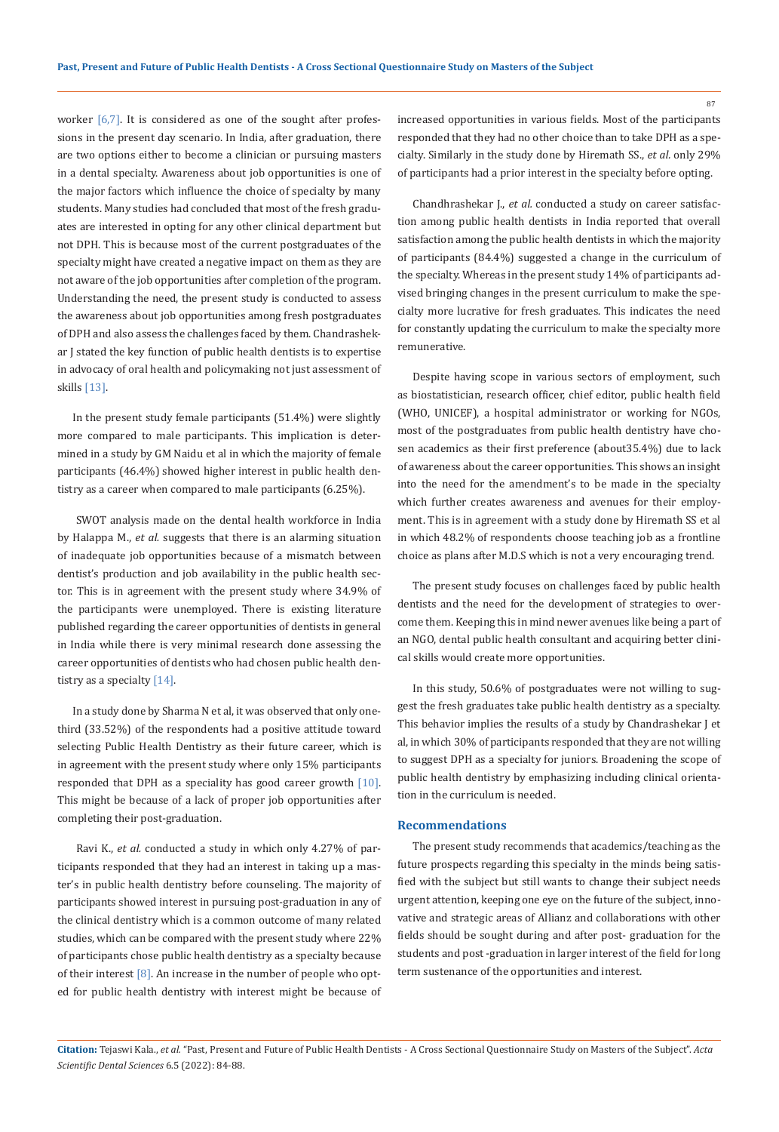worker [6,7]. It is considered as one of the sought after professions in the present day scenario. In India, after graduation, there are two options either to become a clinician or pursuing masters in a dental specialty. Awareness about job opportunities is one of the major factors which influence the choice of specialty by many students. Many studies had concluded that most of the fresh graduates are interested in opting for any other clinical department but not DPH. This is because most of the current postgraduates of the specialty might have created a negative impact on them as they are not aware of the job opportunities after completion of the program. Understanding the need, the present study is conducted to assess the awareness about job opportunities among fresh postgraduates of DPH and also assess the challenges faced by them. Chandrashekar J stated the key function of public health dentists is to expertise in advocacy of oral health and policymaking not just assessment of skills [13].

In the present study female participants (51.4%) were slightly more compared to male participants. This implication is determined in a study by GM Naidu et al in which the majority of female participants (46.4%) showed higher interest in public health dentistry as a career when compared to male participants (6.25%).

 SWOT analysis made on the dental health workforce in India by Halappa M., *et al.* suggests that there is an alarming situation of inadequate job opportunities because of a mismatch between dentist's production and job availability in the public health sector. This is in agreement with the present study where 34.9% of the participants were unemployed. There is existing literature published regarding the career opportunities of dentists in general in India while there is very minimal research done assessing the career opportunities of dentists who had chosen public health dentistry as a specialty [14].

In a study done by Sharma N et al, it was observed that only onethird (33.52%) of the respondents had a positive attitude toward selecting Public Health Dentistry as their future career, which is in agreement with the present study where only 15% participants responded that DPH as a speciality has good career growth [10]. This might be because of a lack of proper job opportunities after completing their post-graduation.

 Ravi K., *et al.* conducted a study in which only 4.27% of participants responded that they had an interest in taking up a master's in public health dentistry before counseling. The majority of participants showed interest in pursuing post-graduation in any of the clinical dentistry which is a common outcome of many related studies, which can be compared with the present study where 22% of participants chose public health dentistry as a specialty because of their interest  $[8]$ . An increase in the number of people who opted for public health dentistry with interest might be because of

increased opportunities in various fields. Most of the participants responded that they had no other choice than to take DPH as a specialty. Similarly in the study done by Hiremath SS., *et al.* only 29% of participants had a prior interest in the specialty before opting.

Chandhrashekar J., *et al.* conducted a study on career satisfaction among public health dentists in India reported that overall satisfaction among the public health dentists in which the majority of participants (84.4%) suggested a change in the curriculum of the specialty. Whereas in the present study 14% of participants advised bringing changes in the present curriculum to make the specialty more lucrative for fresh graduates. This indicates the need for constantly updating the curriculum to make the specialty more remunerative.

Despite having scope in various sectors of employment, such as biostatistician, research officer, chief editor, public health field (WHO, UNICEF), a hospital administrator or working for NGOs, most of the postgraduates from public health dentistry have chosen academics as their first preference (about35.4%) due to lack of awareness about the career opportunities. This shows an insight into the need for the amendment's to be made in the specialty which further creates awareness and avenues for their employment. This is in agreement with a study done by Hiremath SS et al in which 48.2% of respondents choose teaching job as a frontline choice as plans after M.D.S which is not a very encouraging trend.

The present study focuses on challenges faced by public health dentists and the need for the development of strategies to overcome them. Keeping this in mind newer avenues like being a part of an NGO, dental public health consultant and acquiring better clinical skills would create more opportunities.

In this study, 50.6% of postgraduates were not willing to suggest the fresh graduates take public health dentistry as a specialty. This behavior implies the results of a study by Chandrashekar J et al, in which 30% of participants responded that they are not willing to suggest DPH as a specialty for juniors. Broadening the scope of public health dentistry by emphasizing including clinical orientation in the curriculum is needed.

#### **Recommendations**

The present study recommends that academics/teaching as the future prospects regarding this specialty in the minds being satisfied with the subject but still wants to change their subject needs urgent attention, keeping one eye on the future of the subject, innovative and strategic areas of Allianz and collaborations with other fields should be sought during and after post- graduation for the students and post -graduation in larger interest of the field for long term sustenance of the opportunities and interest.

**Citation:** Tejaswi Kala., *et al.* "Past, Present and Future of Public Health Dentists - A Cross Sectional Questionnaire Study on Masters of the Subject". *Acta Scientific Dental Sciences* 6.5 (2022): 84-88.

87